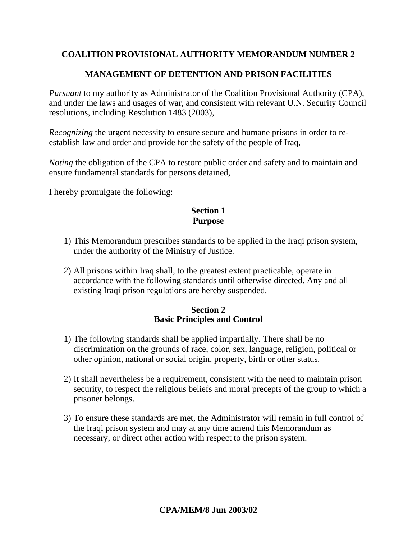# **COALITION PROVISIONAL AUTHORITY MEMORANDUM NUMBER 2**

# **MANAGEMENT OF DETENTION AND PRISON FACILITIES**

*Pursuant* to my authority as Administrator of the Coalition Provisional Authority (CPA), and under the laws and usages of war, and consistent with relevant U.N. Security Council resolutions, including Resolution 1483 (2003),

*Recognizing* the urgent necessity to ensure secure and humane prisons in order to reestablish law and order and provide for the safety of the people of Iraq,

*Noting* the obligation of the CPA to restore public order and safety and to maintain and ensure fundamental standards for persons detained,

I hereby promulgate the following:

### **Section 1 Purpose**

- 1) This Memorandum prescribes standards to be applied in the Iraqi prison system, under the authority of the Ministry of Justice.
- 2) All prisons within Iraq shall, to the greatest extent practicable, operate in accordance with the following standards until otherwise directed. Any and all existing Iraqi prison regulations are hereby suspended.

#### **Section 2 Basic Principles and Control**

- 1) The following standards shall be applied impartially. There shall be no discrimination on the grounds of race, color, sex, language, religion, political or other opinion, national or social origin, property, birth or other status.
- 2) It shall nevertheless be a requirement, consistent with the need to maintain prison security, to respect the religious beliefs and moral precepts of the group to which a prisoner belongs.
- 3) To ensure these standards are met, the Administrator will remain in full control of the Iraqi prison system and may at any time amend this Memorandum as necessary, or direct other action with respect to the prison system.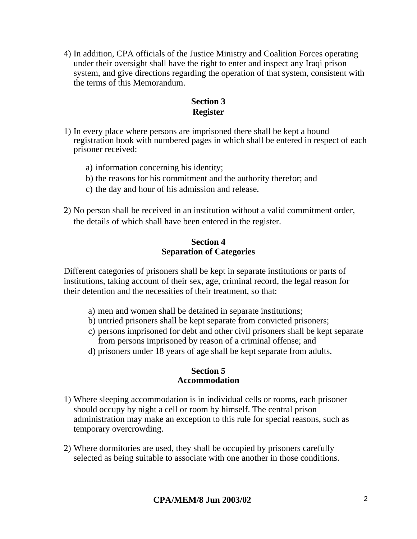4) In addition, CPA officials of the Justice Ministry and Coalition Forces operating under their oversight shall have the right to enter and inspect any Iraqi prison system, and give directions regarding the operation of that system, consistent with the terms of this Memorandum.

# **Section 3 Register**

- 1) In every place where persons are imprisoned there shall be kept a bound registration book with numbered pages in which shall be entered in respect of each prisoner received:
	- a) information concerning his identity;
	- b) the reasons for his commitment and the authority therefor; and
	- c) the day and hour of his admission and release.
- 2) No person shall be received in an institution without a valid commitment order, the details of which shall have been entered in the register.

#### **Section 4 Separation of Categories**

Different categories of prisoners shall be kept in separate institutions or parts of institutions, taking account of their sex, age, criminal record, the legal reason for their detention and the necessities of their treatment, so that:

- a) men and women shall be detained in separate institutions;
- b) untried prisoners shall be kept separate from convicted prisoners;
- c) persons imprisoned for debt and other civil prisoners shall be kept separate from persons imprisoned by reason of a criminal offense; and
- d) prisoners under 18 years of age shall be kept separate from adults.

### **Section 5 Accommodation**

- 1) Where sleeping accommodation is in individual cells or rooms, each prisoner should occupy by night a cell or room by himself. The central prison administration may make an exception to this rule for special reasons, such as temporary overcrowding.
- 2) Where dormitories are used, they shall be occupied by prisoners carefully selected as being suitable to associate with one another in those conditions.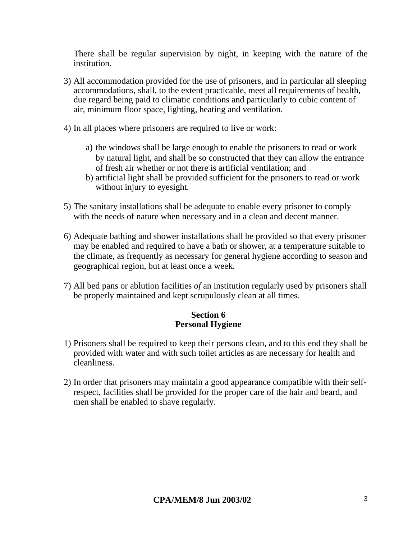There shall be regular supervision by night, in keeping with the nature of the institution.

- 3) All accommodation provided for the use of prisoners, and in particular all sleeping accommodations, shall, to the extent practicable, meet all requirements of health, due regard being paid to climatic conditions and particularly to cubic content of air, minimum floor space, lighting, heating and ventilation.
- 4) In all places where prisoners are required to live or work:
	- a) the windows shall be large enough to enable the prisoners to read or work by natural light, and shall be so constructed that they can allow the entrance of fresh air whether or not there is artificial ventilation; and
	- b) artificial light shall be provided sufficient for the prisoners to read or work without injury to eyesight.
- 5) The sanitary installations shall be adequate to enable every prisoner to comply with the needs of nature when necessary and in a clean and decent manner.
- 6) Adequate bathing and shower installations shall be provided so that every prisoner may be enabled and required to have a bath or shower, at a temperature suitable to the climate, as frequently as necessary for general hygiene according to season and geographical region, but at least once a week.
- 7) All bed pans or ablution facilities *of* an institution regularly used by prisoners shall be properly maintained and kept scrupulously clean at all times.

# **Section 6 Personal Hygiene**

- 1) Prisoners shall be required to keep their persons clean, and to this end they shall be provided with water and with such toilet articles as are necessary for health and cleanliness.
- 2) In order that prisoners may maintain a good appearance compatible with their selfrespect, facilities shall be provided for the proper care of the hair and beard, and men shall be enabled to shave regularly.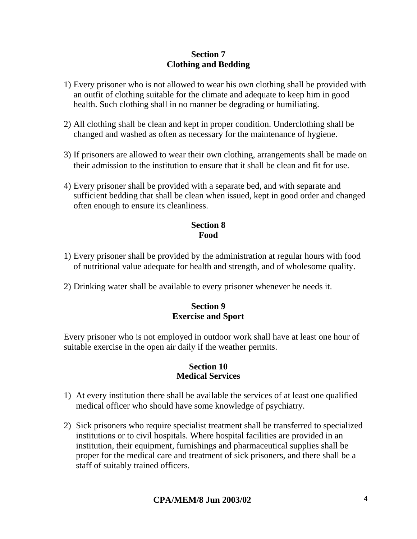### **Section 7 Clothing and Bedding**

- 1) Every prisoner who is not allowed to wear his own clothing shall be provided with an outfit of clothing suitable for the climate and adequate to keep him in good health. Such clothing shall in no manner be degrading or humiliating.
- 2) All clothing shall be clean and kept in proper condition. Underclothing shall be changed and washed as often as necessary for the maintenance of hygiene.
- 3) If prisoners are allowed to wear their own clothing, arrangements shall be made on their admission to the institution to ensure that it shall be clean and fit for use.
- 4) Every prisoner shall be provided with a separate bed, and with separate and sufficient bedding that shall be clean when issued, kept in good order and changed often enough to ensure its cleanliness.

# **Section 8 Food**

- 1) Every prisoner shall be provided by the administration at regular hours with food of nutritional value adequate for health and strength, and of wholesome quality.
- 2) Drinking water shall be available to every prisoner whenever he needs it.

### **Section 9 Exercise and Sport**

Every prisoner who is not employed in outdoor work shall have at least one hour of suitable exercise in the open air daily if the weather permits.

#### **Section 10 Medical Services**

- 1) At every institution there shall be available the services of at least one qualified medical officer who should have some knowledge of psychiatry.
- 2) Sick prisoners who require specialist treatment shall be transferred to specialized institutions or to civil hospitals. Where hospital facilities are provided in an institution, their equipment, furnishings and pharmaceutical supplies shall be proper for the medical care and treatment of sick prisoners, and there shall be a staff of suitably trained officers.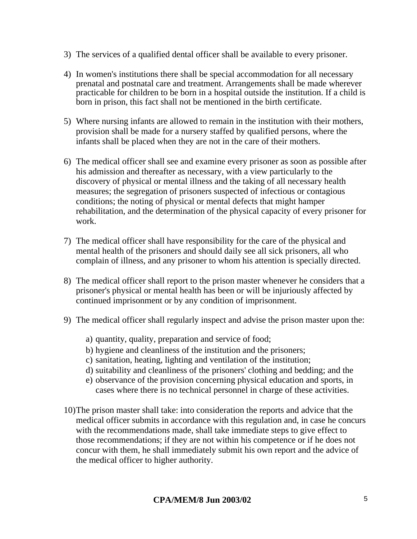- 3) The services of a qualified dental officer shall be available to every prisoner.
- 4) In women's institutions there shall be special accommodation for all necessary prenatal and postnatal care and treatment. Arrangements shall be made wherever practicable for children to be born in a hospital outside the institution. If a child is born in prison, this fact shall not be mentioned in the birth certificate.
- 5) Where nursing infants are allowed to remain in the institution with their mothers, provision shall be made for a nursery staffed by qualified persons, where the infants shall be placed when they are not in the care of their mothers.
- 6) The medical officer shall see and examine every prisoner as soon as possible after his admission and thereafter as necessary, with a view particularly to the discovery of physical or mental illness and the taking of all necessary health measures; the segregation of prisoners suspected of infectious or contagious conditions; the noting of physical or mental defects that might hamper rehabilitation, and the determination of the physical capacity of every prisoner for work.
- 7) The medical officer shall have responsibility for the care of the physical and mental health of the prisoners and should daily see all sick prisoners, all who complain of illness, and any prisoner to whom his attention is specially directed.
- 8) The medical officer shall report to the prison master whenever he considers that a prisoner's physical or mental health has been or will be injuriously affected by continued imprisonment or by any condition of imprisonment.
- 9) The medical officer shall regularly inspect and advise the prison master upon the:
	- a) quantity, quality, preparation and service of food;
	- b) hygiene and cleanliness of the institution and the prisoners;
	- c) sanitation, heating, lighting and ventilation of the institution;
	- d) suitability and cleanliness of the prisoners' clothing and bedding; and the
	- e) observance of the provision concerning physical education and sports, in cases where there is no technical personnel in charge of these activities.
- 10)The prison master shall take: into consideration the reports and advice that the medical officer submits in accordance with this regulation and, in case he concurs with the recommendations made, shall take immediate steps to give effect to those recommendations; if they are not within his competence or if he does not concur with them, he shall immediately submit his own report and the advice of the medical officer to higher authority.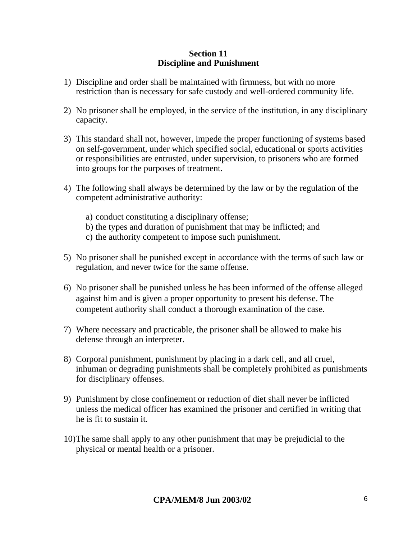#### **Section 11 Discipline and Punishment**

- 1) Discipline and order shall be maintained with firmness, but with no more restriction than is necessary for safe custody and well-ordered community life.
- 2) No prisoner shall be employed, in the service of the institution, in any disciplinary capacity.
- 3) This standard shall not, however, impede the proper functioning of systems based on self-government, under which specified social, educational or sports activities or responsibilities are entrusted, under supervision, to prisoners who are formed into groups for the purposes of treatment.
- 4) The following shall always be determined by the law or by the regulation of the competent administrative authority:
	- a) conduct constituting a disciplinary offense;
	- b) the types and duration of punishment that may be inflicted; and
	- c) the authority competent to impose such punishment.
- 5) No prisoner shall be punished except in accordance with the terms of such law or regulation, and never twice for the same offense.
- 6) No prisoner shall be punished unless he has been informed of the offense alleged against him and is given a proper opportunity to present his defense. The competent authority shall conduct a thorough examination of the case.
- 7) Where necessary and practicable, the prisoner shall be allowed to make his defense through an interpreter.
- 8) Corporal punishment, punishment by placing in a dark cell, and all cruel, inhuman or degrading punishments shall be completely prohibited as punishments for disciplinary offenses.
- 9) Punishment by close confinement or reduction of diet shall never be inflicted unless the medical officer has examined the prisoner and certified in writing that he is fit to sustain it.
- 10)The same shall apply to any other punishment that may be prejudicial to the physical or mental health or a prisoner.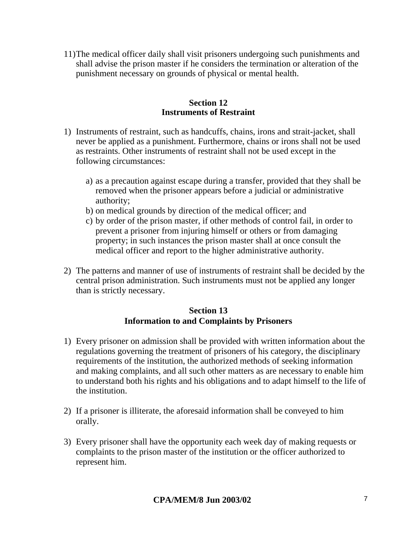11)The medical officer daily shall visit prisoners undergoing such punishments and shall advise the prison master if he considers the termination or alteration of the punishment necessary on grounds of physical or mental health.

### **Section 12 Instruments of Restraint**

- 1) Instruments of restraint, such as handcuffs, chains, irons and strait-jacket, shall never be applied as a punishment. Furthermore, chains or irons shall not be used as restraints. Other instruments of restraint shall not be used except in the following circumstances:
	- a) as a precaution against escape during a transfer, provided that they shall be removed when the prisoner appears before a judicial or administrative authority;
	- b) on medical grounds by direction of the medical officer; and
	- c) by order of the prison master, if other methods of control fail, in order to prevent a prisoner from injuring himself or others or from damaging property; in such instances the prison master shall at once consult the medical officer and report to the higher administrative authority.
- 2) The patterns and manner of use of instruments of restraint shall be decided by the central prison administration. Such instruments must not be applied any longer than is strictly necessary.

### **Section 13 Information to and Complaints by Prisoners**

- 1) Every prisoner on admission shall be provided with written information about the regulations governing the treatment of prisoners of his category, the disciplinary requirements of the institution, the authorized methods of seeking information and making complaints, and all such other matters as are necessary to enable him to understand both his rights and his obligations and to adapt himself to the life of the institution.
- 2) If a prisoner is illiterate, the aforesaid information shall be conveyed to him orally.
- 3) Every prisoner shall have the opportunity each week day of making requests or complaints to the prison master of the institution or the officer authorized to represent him.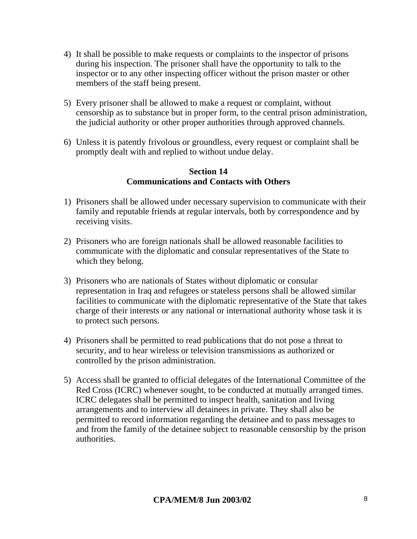- 4) It shall be possible to make requests or complaints to the inspector of prisons during his inspection. The prisoner shall have the opportunity to talk to the inspector or to any other inspecting officer without the prison master or other members of the staff being present.
- 5) Every prisoner shall be allowed to make a request or complaint, without censorship as to substance but in proper form, to the central prison administration, the judicial authority or other proper authorities through approved channels.
- 6) Unless it is patently frivolous or groundless, every request or complaint shall be promptly dealt with and replied to without undue delay.

### **Section 14 Communications and Contacts with Others**

- 1) Prisoners shall be allowed under necessary supervision to communicate with their family and reputable friends at regular intervals, both by correspondence and by receiving visits.
- 2) Prisoners who are foreign nationals shall be allowed reasonable facilities to communicate with the diplomatic and consular representatives of the State to which they belong.
- 3) Prisoners who are nationals of States without diplomatic or consular representation in Iraq and refugees or stateless persons shall be allowed similar facilities to communicate with the diplomatic representative of the State that takes charge of their interests or any national or international authority whose task it is to protect such persons.
- 4) Prisoners shall be permitted to read publications that do not pose a threat to security, and to hear wireless or television transmissions as authorized or controlled by the prison administration.
- 5) Access shall be granted to official delegates of the International Committee of the Red Cross (ICRC) whenever sought, to be conducted at mutually arranged times. ICRC delegates shall be permitted to inspect health, sanitation and living arrangements and to interview all detainees in private. They shall also be permitted to record information regarding the detainee and to pass messages to and from the family of the detainee subject to reasonable censorship by the prison authorities.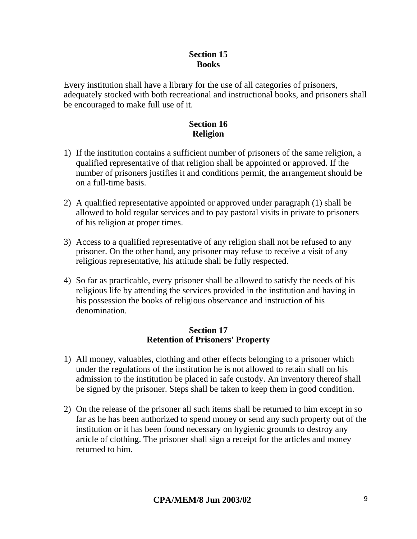### **Section 15 Books**

Every institution shall have a library for the use of all categories of prisoners, adequately stocked with both recreational and instructional books, and prisoners shall be encouraged to make full use of it.

# **Section 16 Religion**

- 1) If the institution contains a sufficient number of prisoners of the same religion, a qualified representative of that religion shall be appointed or approved. If the number of prisoners justifies it and conditions permit, the arrangement should be on a full-time basis.
- 2) A qualified representative appointed or approved under paragraph (1) shall be allowed to hold regular services and to pay pastoral visits in private to prisoners of his religion at proper times.
- 3) Access to a qualified representative of any religion shall not be refused to any prisoner. On the other hand, any prisoner may refuse to receive a visit of any religious representative, his attitude shall be fully respected.
- 4) So far as practicable, every prisoner shall be allowed to satisfy the needs of his religious life by attending the services provided in the institution and having in his possession the books of religious observance and instruction of his denomination.

### **Section 17 Retention of Prisoners' Property**

- 1) All money, valuables, clothing and other effects belonging to a prisoner which under the regulations of the institution he is not allowed to retain shall on his admission to the institution be placed in safe custody. An inventory thereof shall be signed by the prisoner. Steps shall be taken to keep them in good condition.
- 2) On the release of the prisoner all such items shall be returned to him except in so far as he has been authorized to spend money or send any such property out of the institution or it has been found necessary on hygienic grounds to destroy any article of clothing. The prisoner shall sign a receipt for the articles and money returned to him.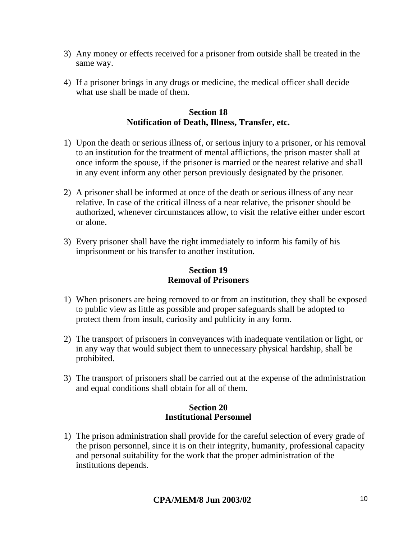- 3) Any money or effects received for a prisoner from outside shall be treated in the same way.
- 4) If a prisoner brings in any drugs or medicine, the medical officer shall decide what use shall be made of them.

### **Section 18 Notification of Death, Illness, Transfer, etc.**

- 1) Upon the death or serious illness of, or serious injury to a prisoner, or his removal to an institution for the treatment of mental afflictions, the prison master shall at once inform the spouse, if the prisoner is married or the nearest relative and shall in any event inform any other person previously designated by the prisoner.
- 2) A prisoner shall be informed at once of the death or serious illness of any near relative. In case of the critical illness of a near relative, the prisoner should be authorized, whenever circumstances allow, to visit the relative either under escort or alone.
- 3) Every prisoner shall have the right immediately to inform his family of his imprisonment or his transfer to another institution.

### **Section 19 Removal of Prisoners**

- 1) When prisoners are being removed to or from an institution, they shall be exposed to public view as little as possible and proper safeguards shall be adopted to protect them from insult, curiosity and publicity in any form.
- 2) The transport of prisoners in conveyances with inadequate ventilation or light, or in any way that would subject them to unnecessary physical hardship, shall be prohibited.
- 3) The transport of prisoners shall be carried out at the expense of the administration and equal conditions shall obtain for all of them.

### **Section 20 Institutional Personnel**

1) The prison administration shall provide for the careful selection of every grade of the prison personnel, since it is on their integrity, humanity, professional capacity and personal suitability for the work that the proper administration of the institutions depends.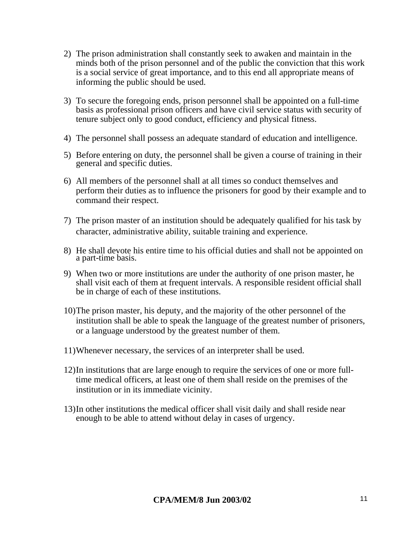- 2) The prison administration shall constantly seek to awaken and maintain in the minds both of the prison personnel and of the public the conviction that this work is a social service of great importance, and to this end all appropriate means of informing the public should be used.
- 3) To secure the foregoing ends, prison personnel shall be appointed on a full-time basis as professional prison officers and have civil service status with security of tenure subject only to good conduct, efficiency and physical fitness.
- 4) The personnel shall possess an adequate standard of education and intelligence.
- 5) Before entering on duty, the personnel shall be given a course of training in their general and specific duties.
- 6) All members of the personnel shall at all times so conduct themselves and perform their duties as to influence the prisoners for good by their example and to command their respect.
- 7) The prison master of an institution should be adequately qualified for his task by character, administrative ability, suitable training and experience.
- 8) He shall devote his entire time to his official duties and shall not be appointed on a part-time basis.
- 9) When two or more institutions are under the authority of one prison master, he shall visit each of them at frequent intervals. A responsible resident official shall be in charge of each of these institutions.
- 10)The prison master, his deputy, and the majority of the other personnel of the institution shall be able to speak the language of the greatest number of prisoners, or a language understood by the greatest number of them.
- 11)Whenever necessary, the services of an interpreter shall be used.
- 12)In institutions that are large enough to require the services of one or more fulltime medical officers, at least one of them shall reside on the premises of the institution or in its immediate vicinity.
- 13)In other institutions the medical officer shall visit daily and shall reside near enough to be able to attend without delay in cases of urgency.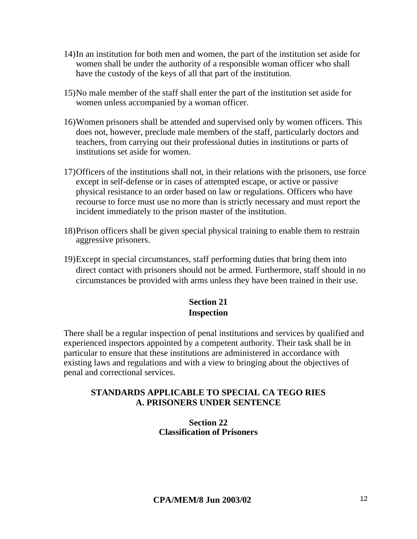- 14)In an institution for both men and women, the part of the institution set aside for women shall be under the authority of a responsible woman officer who shall have the custody of the keys of all that part of the institution.
- 15)No male member of the staff shall enter the part of the institution set aside for women unless accompanied by a woman officer.
- 16)Women prisoners shall be attended and supervised only by women officers. This does not, however, preclude male members of the staff, particularly doctors and teachers, from carrying out their professional duties in institutions or parts of institutions set aside for women.
- 17)Officers of the institutions shall not, in their relations with the prisoners, use force except in self-defense or in cases of attempted escape, or active or passive physical resistance to an order based on law or regulations. Officers who have recourse to force must use no more than is strictly necessary and must report the incident immediately to the prison master of the institution.
- 18)Prison officers shall be given special physical training to enable them to restrain aggressive prisoners.
- 19)Except in special circumstances, staff performing duties that bring them into direct contact with prisoners should not be armed. Furthermore, staff should in no circumstances be provided with arms unless they have been trained in their use.

### **Section 21 Inspection**

There shall be a regular inspection of penal institutions and services by qualified and experienced inspectors appointed by a competent authority. Their task shall be in particular to ensure that these institutions are administered in accordance with existing laws and regulations and with a view to bringing about the objectives of penal and correctional services.

### **STANDARDS APPLICABLE TO SPECIAL CA TEGO RIES A. PRISONERS UNDER SENTENCE**

**Section 22 Classification of Prisoners**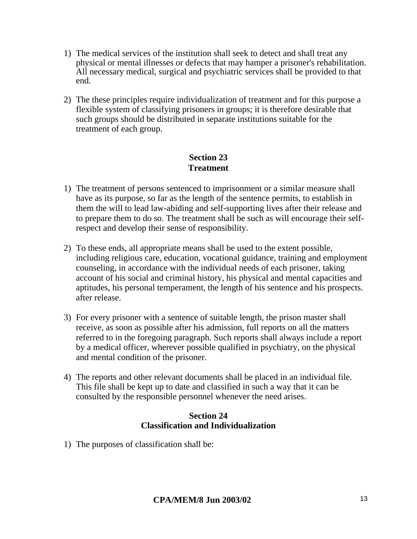- 1) The medical services of the institution shall seek to detect and shall treat any physical or mental illnesses or defects that may hamper a prisoner's rehabilitation. All necessary medical, surgical and psychiatric services shall be provided to that end.
- 2) The these principles require individualization of treatment and for this purpose a flexible system of classifying prisoners in groups; it is therefore desirable that such groups should be distributed in separate institutions suitable for the treatment of each group.

# **Section 23 Treatment**

- 1) The treatment of persons sentenced to imprisonment or a similar measure shall have as its purpose, so far as the length of the sentence permits, to establish in them the will to lead law-abiding and self-supporting lives after their release and to prepare them to do so. The treatment shall be such as will encourage their selfrespect and develop their sense of responsibility.
- 2) To these ends, all appropriate means shall be used to the extent possible, including religious care, education, vocational guidance, training and employment counseling, in accordance with the individual needs of each prisoner, taking account of his social and criminal history, his physical and mental capacities and aptitudes, his personal temperament, the length of his sentence and his prospects. after release.
- 3) For every prisoner with a sentence of suitable length, the prison master shall receive, as soon as possible after his admission, full reports on all the matters referred to in the foregoing paragraph. Such reports shall always include a report by a medical officer, wherever possible qualified in psychiatry, on the physical and mental condition of the prisoner.
- 4) The reports and other relevant documents shall be placed in an individual file. This file shall be kept up to date and classified in such a way that it can be consulted by the responsible personnel whenever the need arises.

### **Section 24 Classification and Individualization**

1) The purposes of classification shall be: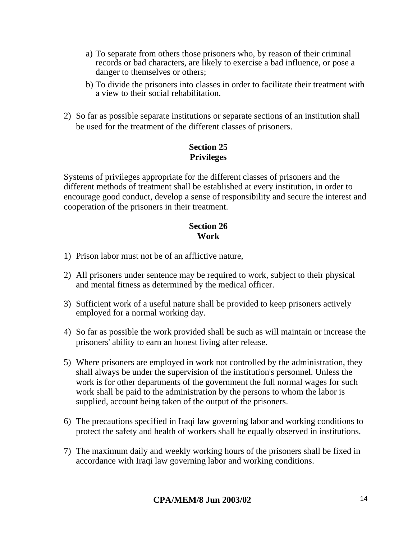- a) To separate from others those prisoners who, by reason of their criminal records or bad characters, are likely to exercise a bad influence, or pose a danger to themselves or others;
- b) To divide the prisoners into classes in order to facilitate their treatment with a view to their social rehabilitation.
- 2) So far as possible separate institutions or separate sections of an institution shall be used for the treatment of the different classes of prisoners.

# **Section 25 Privileges**

Systems of privileges appropriate for the different classes of prisoners and the different methods of treatment shall be established at every institution, in order to encourage good conduct, develop a sense of responsibility and secure the interest and cooperation of the prisoners in their treatment.

### **Section 26 Work**

- 1) Prison labor must not be of an afflictive nature,
- 2) All prisoners under sentence may be required to work, subject to their physical and mental fitness as determined by the medical officer.
- 3) Sufficient work of a useful nature shall be provided to keep prisoners actively employed for a normal working day.
- 4) So far as possible the work provided shall be such as will maintain or increase the prisoners' ability to earn an honest living after release.
- 5) Where prisoners are employed in work not controlled by the administration, they shall always be under the supervision of the institution's personnel. Unless the work is for other departments of the government the full normal wages for such work shall be paid to the administration by the persons to whom the labor is supplied, account being taken of the output of the prisoners.
- 6) The precautions specified in Iraqi law governing labor and working conditions to protect the safety and health of workers shall be equally observed in institutions.
- 7) The maximum daily and weekly working hours of the prisoners shall be fixed in accordance with Iraqi law governing labor and working conditions.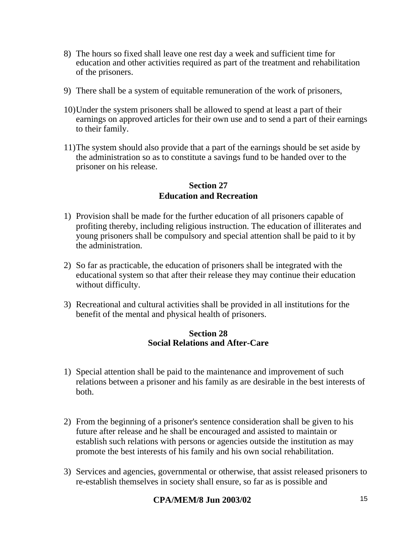- 8) The hours so fixed shall leave one rest day a week and sufficient time for education and other activities required as part of the treatment and rehabilitation of the prisoners.
- 9) There shall be a system of equitable remuneration of the work of prisoners,
- 10)Under the system prisoners shall be allowed to spend at least a part of their earnings on approved articles for their own use and to send a part of their earnings to their family.
- 11)The system should also provide that a part of the earnings should be set aside by the administration so as to constitute a savings fund to be handed over to the prisoner on his release.

#### **Section 27 Education and Recreation**

- 1) Provision shall be made for the further education of all prisoners capable of profiting thereby, including religious instruction. The education of illiterates and young prisoners shall be compulsory and special attention shall be paid to it by the administration.
- 2) So far as practicable, the education of prisoners shall be integrated with the educational system so that after their release they may continue their education without difficulty.
- 3) Recreational and cultural activities shall be provided in all institutions for the benefit of the mental and physical health of prisoners.

#### **Section 28 Social Relations and After-Care**

- 1) Special attention shall be paid to the maintenance and improvement of such relations between a prisoner and his family as are desirable in the best interests of both.
- 2) From the beginning of a prisoner's sentence consideration shall be given to his future after release and he shall be encouraged and assisted to maintain or establish such relations with persons or agencies outside the institution as may promote the best interests of his family and his own social rehabilitation.
- 3) Services and agencies, governmental or otherwise, that assist released prisoners to re-establish themselves in society shall ensure, so far as is possible and

### **CPA/MEM/8 Jun 2003/02** 15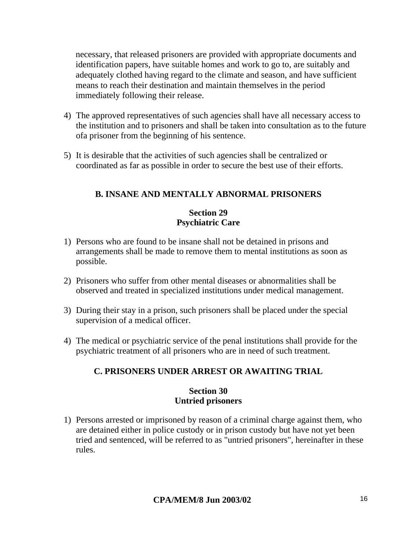necessary, that released prisoners are provided with appropriate documents and identification papers, have suitable homes and work to go to, are suitably and adequately clothed having regard to the climate and season, and have sufficient means to reach their destination and maintain themselves in the period immediately following their release.

- 4) The approved representatives of such agencies shall have all necessary access to the institution and to prisoners and shall be taken into consultation as to the future ofa prisoner from the beginning of his sentence.
- 5) It is desirable that the activities of such agencies shall be centralized or coordinated as far as possible in order to secure the best use of their efforts.

# **B. INSANE AND MENTALLY ABNORMAL PRISONERS**

### **Section 29 Psychiatric Care**

- 1) Persons who are found to be insane shall not be detained in prisons and arrangements shall be made to remove them to mental institutions as soon as possible.
- 2) Prisoners who suffer from other mental diseases or abnormalities shall be observed and treated in specialized institutions under medical management.
- 3) During their stay in a prison, such prisoners shall be placed under the special supervision of a medical officer.
- 4) The medical or psychiatric service of the penal institutions shall provide for the psychiatric treatment of all prisoners who are in need of such treatment.

# **C. PRISONERS UNDER ARREST OR AWAITING TRIAL**

#### **Section 30 Untried prisoners**

1) Persons arrested or imprisoned by reason of a criminal charge against them, who are detained either in police custody or in prison custody but have not yet been tried and sentenced, will be referred to as "untried prisoners", hereinafter in these rules.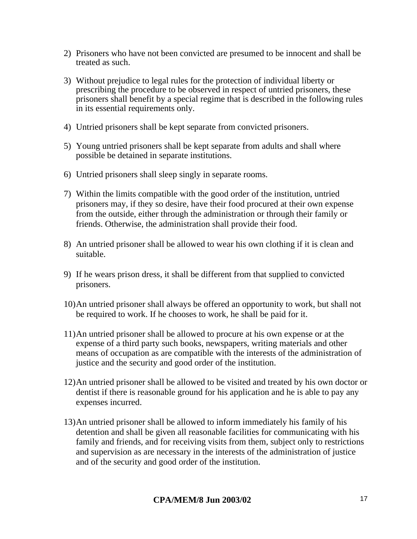- 2) Prisoners who have not been convicted are presumed to be innocent and shall be treated as such.
- 3) Without prejudice to legal rules for the protection of individual liberty or prescribing the procedure to be observed in respect of untried prisoners, these prisoners shall benefit by a special regime that is described in the following rules in its essential requirements only.
- 4) Untried prisoners shall be kept separate from convicted prisoners.
- 5) Young untried prisoners shall be kept separate from adults and shall where possible be detained in separate institutions.
- 6) Untried prisoners shall sleep singly in separate rooms.
- 7) Within the limits compatible with the good order of the institution, untried prisoners may, if they so desire, have their food procured at their own expense from the outside, either through the administration or through their family or friends. Otherwise, the administration shall provide their food.
- 8) An untried prisoner shall be allowed to wear his own clothing if it is clean and suitable.
- 9) If he wears prison dress, it shall be different from that supplied to convicted prisoners.
- 10)An untried prisoner shall always be offered an opportunity to work, but shall not be required to work. If he chooses to work, he shall be paid for it.
- 11)An untried prisoner shall be allowed to procure at his own expense or at the expense of a third party such books, newspapers, writing materials and other means of occupation as are compatible with the interests of the administration of justice and the security and good order of the institution.
- 12)An untried prisoner shall be allowed to be visited and treated by his own doctor or dentist if there is reasonable ground for his application and he is able to pay any expenses incurred.
- 13)An untried prisoner shall be allowed to inform immediately his family of his detention and shall be given all reasonable facilities for communicating with his family and friends, and for receiving visits from them, subject only to restrictions and supervision as are necessary in the interests of the administration of justice and of the security and good order of the institution.